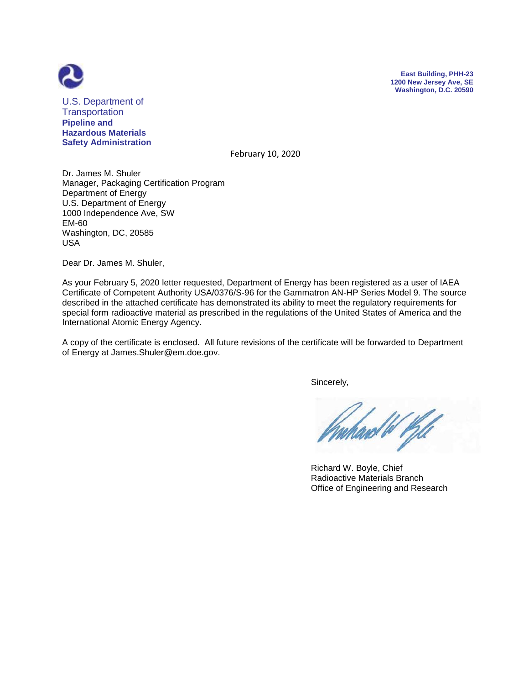



U.S. Department of **Transportation Pipeline and Hazardous Materials Safety Administration**

February 10, 2020

Dr. James M. Shuler Manager, Packaging Certification Program Department of Energy U.S. Department of Energy 1000 Independence Ave, SW EM-60 Washington, DC, 20585 USA

Dear Dr. James M. Shuler,

As your February 5, 2020 letter requested, Department of Energy has been registered as a user of IAEA Certificate of Competent Authority USA/0376/S-96 for the Gammatron AN-HP Series Model 9. The source described in the attached certificate has demonstrated its ability to meet the regulatory requirements for special form radioactive material as prescribed in the regulations of the United States of America and the International Atomic Energy Agency.

A copy of the certificate is enclosed. All future revisions of the certificate will be forwarded to Department of Energy at James.Shuler@em.doe.gov.

Sincerely,

ard W Kil

 Richard W. Boyle, Chief Radioactive Materials Branch Office of Engineering and Research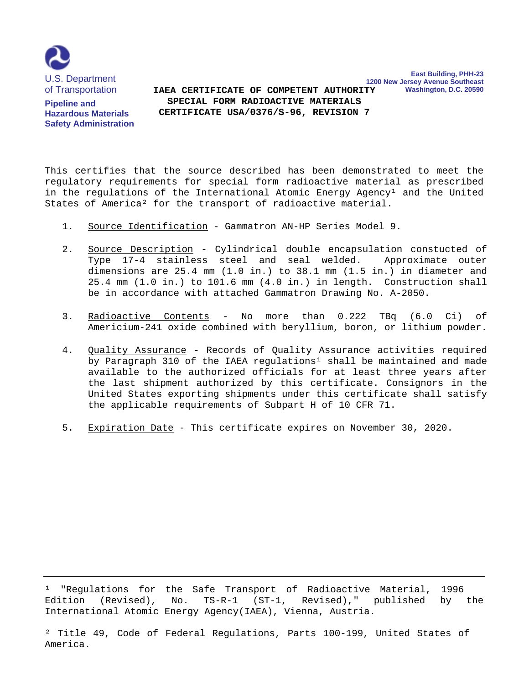

**Pipeline and Hazardous Materials Safety Administration**

**1200 New Jersey Avenue Southeast Washington, D.C. 20590 SPECIAL FORM RADIOACTIVE MATERIALS IAEA CERTIFICATE OF COMPETENT AUTHORITY CERTIFICATE USA/0376/S-96, REVISION 7**

**East Building, PHH-23**

This certifies that the source described has been demonstrated to meet the regulatory requirements for special form radioactive material as prescribed in the regulations of the International Atomic Energy Agency<sup>1</sup> and the United States of America² for the transport of radioactive material.

- 1. Source Identification Gammatron AN-HP Series Model 9.
- 2. Source Description Cylindrical double encapsulation constucted of Type 17-4 stainless steel and seal welded. Approximate outer dimensions are 25.4 mm (1.0 in.) to 38.1 mm (1.5 in.) in diameter and 25.4 mm (1.0 in.) to 101.6 mm (4.0 in.) in length. Construction shall be in accordance with attached Gammatron Drawing No. A-2050.
- 3. Radioactive Contents No more than 0.222 TBq (6.0 Ci) of Americium-241 oxide combined with beryllium, boron, or lithium powder.
- 4. Quality Assurance Records of Quality Assurance activities required by Paragraph 310 of the IAEA regulations<sup>1</sup> shall be maintained and made available to the authorized officials for at least three years after the last shipment authorized by this certificate. Consignors in the United States exporting shipments under this certificate shall satisfy the applicable requirements of Subpart H of 10 CFR 71.
- 5. Expiration Date This certificate expires on November 30, 2020.

<sup>1</sup> "Regulations for the Safe Transport of Radioactive Material, 1996 Edition (Revised), No. TS-R-1 (ST-1, Revised)," published by the International Atomic Energy Agency(IAEA), Vienna, Austria.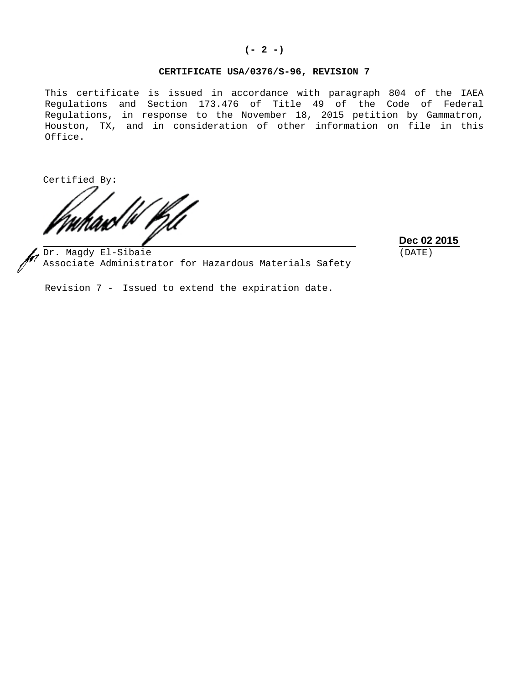#### **(- 2 -)**

### **CERTIFICATE USA/0376/S-96, REVISION 7**

This certificate is issued in accordance with paragraph 804 of the IAEA Regulations and Section 173.476 of Title 49 of the Code of Federal Regulations, in response to the November 18, 2015 petition by Gammatron, Houston, TX, and in consideration of other information on file in this Office.

Certified By:

**Dec 02 2015** (DATE)

Dr. Magdy El-Sibaie Associate Administrator for Hazardous Materials Safety

Revision 7 - Issued to extend the expiration date.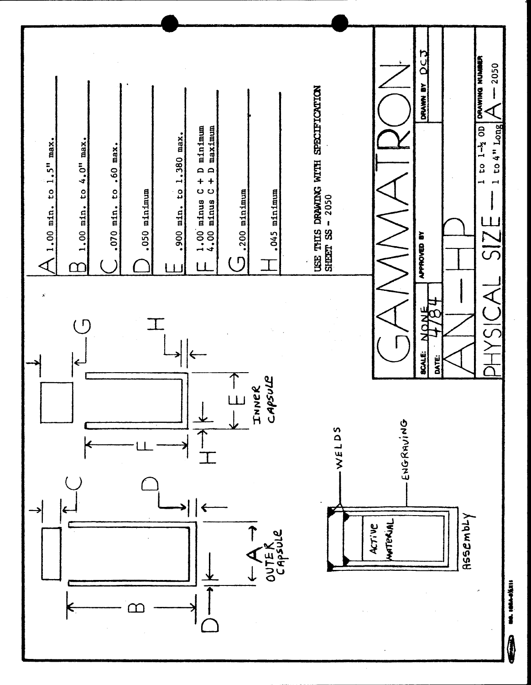